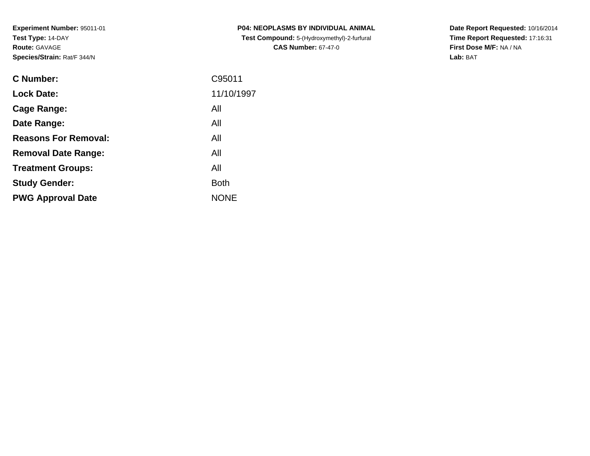| <b>C Number:</b>            | C95011      |
|-----------------------------|-------------|
| <b>Lock Date:</b>           | 11/10/1997  |
| <b>Cage Range:</b>          | All         |
| Date Range:                 | All         |
| <b>Reasons For Removal:</b> | All         |
| <b>Removal Date Range:</b>  | All         |
| <b>Treatment Groups:</b>    | All         |
| <b>Study Gender:</b>        | <b>Both</b> |
| <b>PWG Approval Date</b>    | <b>NONE</b> |
|                             |             |

**P04: NEOPLASMS BY INDIVIDUAL ANIMAL Test Compound:** 5-(Hydroxymethyl)-2-furfural **CAS Number:** 67-47-0

**Date Report Requested:** 10/16/2014 **Time Report Requested:** 17:16:31**First Dose M/F:** NA / NA**Lab:** BAT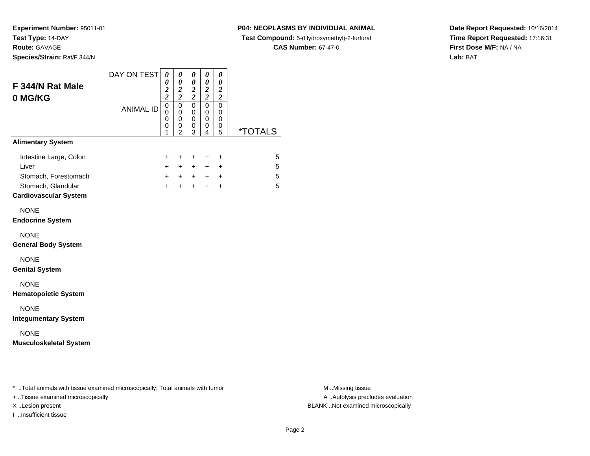**Experiment Number:** 95011-01**Test Type:** 14-DAY

**Route:** GAVAGE

**Species/Strain:** Rat/F 344/N

### **P04: NEOPLASMS BY INDIVIDUAL ANIMAL**

**Test Compound:** 5-(Hydroxymethyl)-2-furfural

**CAS Number:** 67-47-0

**Date Report Requested:** 10/16/2014**Time Report Requested:** 17:16:31**First Dose M/F:** NA / NA**Lab:** BAT

| F 344/N Rat Male<br>0 MG/KG                                                                                   | DAY ON TEST      | $\boldsymbol{\theta}$<br>0<br>$\frac{2}{2}$ | 0<br>$\pmb{\theta}$<br>$\frac{2}{2}$                 | $\boldsymbol{\theta}$<br>$\pmb{\theta}$<br>$\frac{2}{2}$ | $\boldsymbol{\theta}$<br>$\pmb{\theta}$<br>$\frac{2}{2}$          | $\boldsymbol{\theta}$<br>$\boldsymbol{\theta}$<br>$\frac{2}{2}$ |                           |                  |
|---------------------------------------------------------------------------------------------------------------|------------------|---------------------------------------------|------------------------------------------------------|----------------------------------------------------------|-------------------------------------------------------------------|-----------------------------------------------------------------|---------------------------|------------------|
|                                                                                                               | <b>ANIMAL ID</b> | $\pmb{0}$<br>$\Omega$<br>0<br>0<br>1        | 0<br>$\mathbf 0$<br>$\pmb{0}$<br>0<br>$\overline{c}$ | $\mathsf 0$<br>$\mathbf 0$<br>$\mathbf 0$<br>0<br>3      | $\overline{0}$<br>$\mathbf 0$<br>$\pmb{0}$<br>0<br>$\overline{4}$ | $\mathbf 0$<br>0<br>$\,0\,$<br>0<br>5                           | <i><b>*TOTALS</b></i>     |                  |
| <b>Alimentary System</b>                                                                                      |                  |                                             |                                                      |                                                          |                                                                   |                                                                 |                           |                  |
| Intestine Large, Colon<br>Liver<br>Stomach, Forestomach<br>Stomach, Glandular<br><b>Cardiovascular System</b> |                  | $\ddot{}$<br>$+$<br>$+$<br>$+$              | $\ddot{}$<br>$+$                                     | $\ddot{}$<br>$+$ $+$<br>$+$                              | $\ddot{}$<br>$+$<br>$+ + +$<br>$+$                                | $\ddot{}$<br>$\ddot{}$<br>$\ddot{}$<br>$\ddot{}$                | $\sqrt{5}$<br>5<br>5<br>5 |                  |
| <b>NONE</b><br><b>Endocrine System</b>                                                                        |                  |                                             |                                                      |                                                          |                                                                   |                                                                 |                           |                  |
| <b>NONE</b><br><b>General Body System</b>                                                                     |                  |                                             |                                                      |                                                          |                                                                   |                                                                 |                           |                  |
| <b>NONE</b><br><b>Genital System</b>                                                                          |                  |                                             |                                                      |                                                          |                                                                   |                                                                 |                           |                  |
| <b>NONE</b><br><b>Hematopoietic System</b>                                                                    |                  |                                             |                                                      |                                                          |                                                                   |                                                                 |                           |                  |
| <b>NONE</b><br><b>Integumentary System</b>                                                                    |                  |                                             |                                                      |                                                          |                                                                   |                                                                 |                           |                  |
| <b>NONE</b><br><b>Musculoskeletal System</b>                                                                  |                  |                                             |                                                      |                                                          |                                                                   |                                                                 |                           |                  |
|                                                                                                               |                  |                                             |                                                      |                                                          |                                                                   |                                                                 |                           |                  |
| * Total animals with tissue examined microscopically; Total animals with tumor                                |                  |                                             |                                                      |                                                          |                                                                   |                                                                 |                           | M Missing tissue |

+ ..Tissue examined microscopically

I ..Insufficient tissue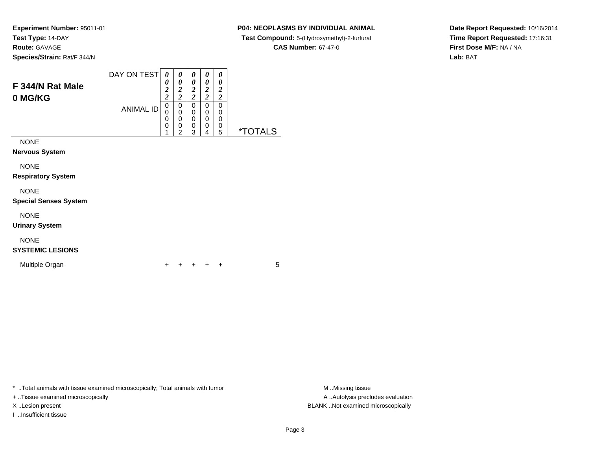### **P04: NEOPLASMS BY INDIVIDUAL ANIMAL**

**Test Compound:** 5-(Hydroxymethyl)-2-furfural

**CAS Number:** 67-47-0

**Date Report Requested:** 10/16/2014**Time Report Requested:** 17:16:31**First Dose M/F:** NA / NA**Lab:** BAT

| F 344/N Rat Male<br>0 MG/KG   | DAY ON TEST<br><b>ANIMAL ID</b> | 0<br>0<br>$\boldsymbol{2}$<br>$\overline{2}$<br>0<br>0<br>0<br>0<br>4 | 0<br>0<br>2<br>2<br>0<br>0<br>0<br>0<br>າ | 0<br>0<br>2<br>2<br>0<br>0<br>0<br>0<br>3 | 0<br>0<br>2<br>2<br>0<br>0<br>0<br>0<br>4 | 0<br>0<br>2<br>2<br>0<br>0<br>0<br>0<br>5 | ∟S<br>** |
|-------------------------------|---------------------------------|-----------------------------------------------------------------------|-------------------------------------------|-------------------------------------------|-------------------------------------------|-------------------------------------------|----------|
| <b>NONE</b><br>Narvous System |                                 |                                                                       |                                           |                                           |                                           |                                           |          |

**Nervous System**

NONE

**Respiratory System**

NONE

**Special Senses System**

NONE

**Urinary System**

## NONE

**SYSTEMIC LESIONS**

Multiple Organn  $+$ 

<sup>+</sup> <sup>+</sup> <sup>+</sup> <sup>+</sup> <sup>5</sup>

\* ..Total animals with tissue examined microscopically; Total animals with tumor

+ ..Tissue examined microscopically

I ..Insufficient tissue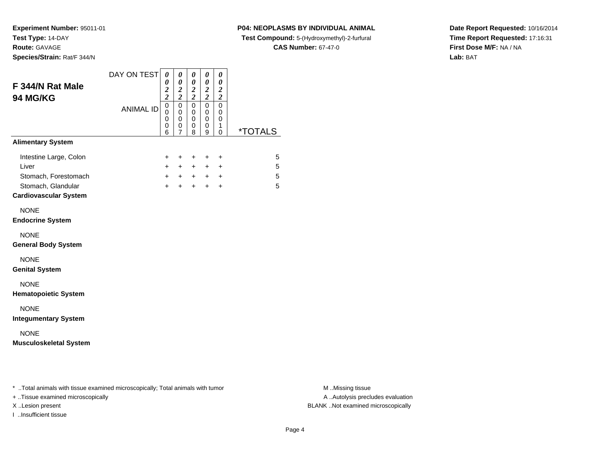### **P04: NEOPLASMS BY INDIVIDUAL ANIMAL**

**Test Compound:** 5-(Hydroxymethyl)-2-furfural

**CAS Number:** 67-47-0

**Date Report Requested:** 10/16/2014**Time Report Requested:** 17:16:31**First Dose M/F:** NA / NA**Lab:** BAT

|                  | $\boldsymbol{\theta}$<br>$\frac{2}{2}$  | $\boldsymbol{\theta}$<br>$\frac{2}{2}$         | 0<br>$\pmb{\theta}$<br>$\frac{2}{2}$ | 0<br>$\pmb{\theta}$<br>$\frac{2}{2}$ | 0<br>$\pmb{\theta}$<br>$\boldsymbol{2}$<br>$\overline{\mathbf{c}}$ |                               |
|------------------|-----------------------------------------|------------------------------------------------|--------------------------------------|--------------------------------------|--------------------------------------------------------------------|-------------------------------|
| <b>ANIMAL ID</b> | $\overline{0}$<br>$\mathbf 0$<br>0<br>0 | $\mathbf 0$<br>$\mathbf 0$<br>$\mathbf 0$<br>0 | $\pmb{0}$<br>$\mathbf 0$<br>0<br>0   | $\mathbf 0$<br>$\Omega$<br>0<br>0    | $\Omega$<br>0<br>0<br>1                                            | <i><b>*TOTALS</b></i>         |
|                  |                                         |                                                |                                      |                                      |                                                                    |                               |
|                  | $\ddot{}$<br>$+$                        | +<br>$+$                                       | +<br>$+$                             | +                                    | $\ddot{}$<br>$\ddot{}$                                             | 5<br>5                        |
|                  | $\ddot{}$<br>$+$                        | $+$<br>$+$                                     | $+$                                  |                                      | $\ddot{}$<br>$\ddot{}$                                             | 5<br>5                        |
|                  |                                         |                                                |                                      |                                      |                                                                    |                               |
|                  |                                         |                                                |                                      |                                      |                                                                    |                               |
|                  |                                         |                                                |                                      |                                      |                                                                    |                               |
|                  |                                         |                                                |                                      |                                      |                                                                    |                               |
|                  |                                         |                                                |                                      |                                      |                                                                    |                               |
|                  |                                         |                                                |                                      |                                      |                                                                    |                               |
|                  |                                         | 6                                              | 7                                    | 8                                    | 9<br>$+$                                                           | $\Omega$<br>$+$<br>$+$<br>$+$ |

+ ..Tissue examined microscopically

I ..Insufficient tissue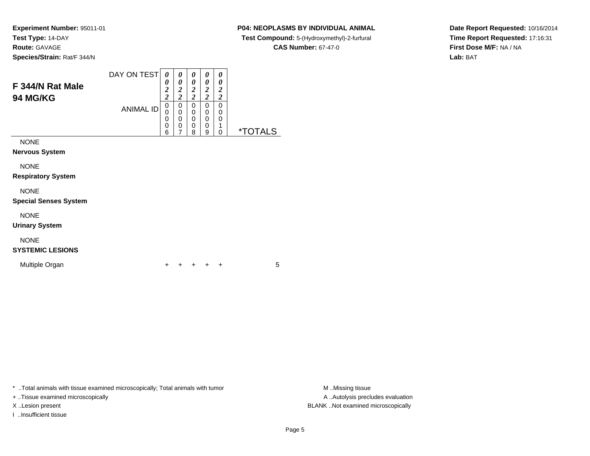### **P04: NEOPLASMS BY INDIVIDUAL ANIMAL**

**Test Compound:** 5-(Hydroxymethyl)-2-furfural

**CAS Number:** 67-47-0

**Date Report Requested:** 10/16/2014**Time Report Requested:** 17:16:31**First Dose M/F:** NA / NA**Lab:** BAT

| F 344/N Rat Male<br><b>94 MG/KG</b> | DAY ON TEST<br><b>ANIMAL ID</b> | 0<br>0<br>$\overline{2}$<br>2<br>0<br>0<br>0<br>0<br>6 | 0<br>0<br>2<br>2<br>0<br>0<br>0<br>0<br>⇁ | 0<br>0<br>2<br>2<br>0<br>0<br>0<br>0<br>8 | 0<br>0<br>2<br>ി<br>0<br>0<br>0<br>0<br>9 | 0<br>0<br>2<br>2<br>0<br>0<br>0<br>0 | *" |
|-------------------------------------|---------------------------------|--------------------------------------------------------|-------------------------------------------|-------------------------------------------|-------------------------------------------|--------------------------------------|----|
| <b>NONE</b>                         |                                 |                                                        |                                           |                                           |                                           |                                      |    |
| <b>Nervous System</b>               |                                 |                                                        |                                           |                                           |                                           |                                      |    |

NONE

**Respiratory System**

### NONE

**Special Senses System**

NONE

**Urinary System**

## NONE

### **SYSTEMIC LESIONS**

Multiple Organn  $+$ 

<sup>+</sup> <sup>+</sup> <sup>+</sup> <sup>+</sup> <sup>5</sup>

\* ..Total animals with tissue examined microscopically; Total animals with tumor

+ ..Tissue examined microscopically

I ..Insufficient tissue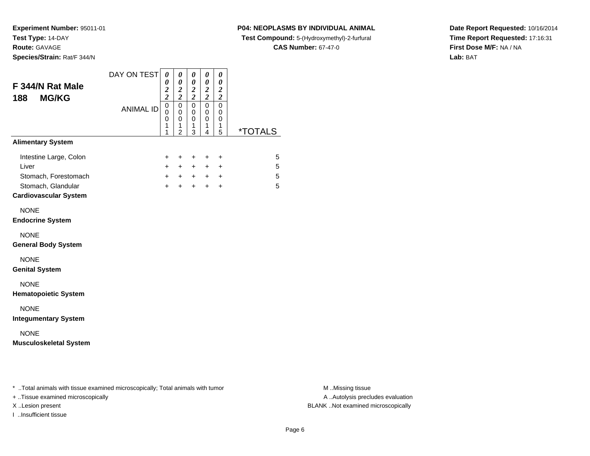#### **P04: NEOPLASMS BY INDIVIDUAL ANIMAL**

**Test Compound:** 5-(Hydroxymethyl)-2-furfural

**CAS Number:** 67-47-0

**Date Report Requested:** 10/16/2014**Time Report Requested:** 17:16:31**First Dose M/F:** NA / NA**Lab:** BAT

| F 344/N Rat Male<br><b>MG/KG</b><br>188                                                                       | DAY ON TEST      | 0<br>0<br>$\frac{2}{2}$            | $\pmb{\theta}$<br>0<br>$\frac{2}{2}$                   | 0<br>$\pmb{\theta}$<br>$\frac{2}{2}$      | 0<br>$\boldsymbol{\theta}$<br>$\frac{2}{2}$         | 0<br>$\pmb{\theta}$<br>$\boldsymbol{2}$<br>$\overline{\mathbf{c}}$ |                       |
|---------------------------------------------------------------------------------------------------------------|------------------|------------------------------------|--------------------------------------------------------|-------------------------------------------|-----------------------------------------------------|--------------------------------------------------------------------|-----------------------|
|                                                                                                               | <b>ANIMAL ID</b> | $\overline{0}$<br>0<br>0<br>1<br>1 | $\mathbf 0$<br>$\mathbf 0$<br>0<br>1<br>$\overline{2}$ | $\mathbf 0$<br>$\mathbf 0$<br>0<br>1<br>3 | $\mathbf 0$<br>$\mathbf 0$<br>$\mathbf 0$<br>1<br>4 | $\mathbf 0$<br>0<br>0<br>1<br>5                                    | <i><b>*TOTALS</b></i> |
| <b>Alimentary System</b>                                                                                      |                  |                                    |                                                        |                                           |                                                     |                                                                    |                       |
| Intestine Large, Colon<br>Liver<br>Stomach, Forestomach<br>Stomach, Glandular<br><b>Cardiovascular System</b> |                  | +<br>$\ddot{}$<br>$\ddot{}$<br>$+$ | $\ddot{}$<br>$+$<br>$+$<br>$+$                         | $\ddot{}$<br>$+$<br>$+$<br>$+$            | $\pm$<br>$+$<br>$+$<br>$+$                          | $\ddot{}$<br>$\ddot{}$<br>$\ddot{}$<br>$+$                         | 5<br>5<br>5<br>5      |
| <b>NONE</b><br><b>Endocrine System</b>                                                                        |                  |                                    |                                                        |                                           |                                                     |                                                                    |                       |
| <b>NONE</b><br><b>General Body System</b>                                                                     |                  |                                    |                                                        |                                           |                                                     |                                                                    |                       |
| <b>NONE</b><br><b>Genital System</b>                                                                          |                  |                                    |                                                        |                                           |                                                     |                                                                    |                       |
| <b>NONE</b><br><b>Hematopoietic System</b>                                                                    |                  |                                    |                                                        |                                           |                                                     |                                                                    |                       |
| <b>NONE</b><br><b>Integumentary System</b>                                                                    |                  |                                    |                                                        |                                           |                                                     |                                                                    |                       |
| <b>NONE</b><br><b>Musculoskeletal System</b>                                                                  |                  |                                    |                                                        |                                           |                                                     |                                                                    |                       |
| * Total animals with tissue examined microscopically; Total animals with tumor                                |                  |                                    |                                                        |                                           |                                                     |                                                                    |                       |

+ ..Tissue examined microscopically

I ..Insufficient tissue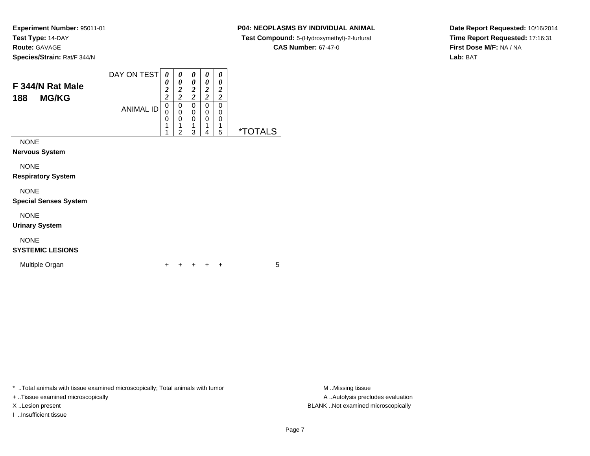### **P04: NEOPLASMS BY INDIVIDUAL ANIMAL**

**Test Compound:** 5-(Hydroxymethyl)-2-furfural

**CAS Number:** 67-47-0

**Date Report Requested:** 10/16/2014**Time Report Requested:** 17:16:31**First Dose M/F:** NA / NA**Lab:** BAT

| F 344/N Rat Male<br><b>MG/KG</b><br>188 | DAY ON TEST      | 0<br>0<br>$\overline{2}$<br>$\boldsymbol{2}$ | 0<br>0<br>$\overline{2}$<br>ን<br>∠ | 0<br>0<br>2<br>2      | 0<br>0<br>2<br>2 | 0<br>0<br>2<br>2      |           |
|-----------------------------------------|------------------|----------------------------------------------|------------------------------------|-----------------------|------------------|-----------------------|-----------|
|                                         | <b>ANIMAL ID</b> | 0<br>0<br>0<br>1<br>4                        | 0<br>0<br>0<br>$\mathfrak{p}$      | 0<br>0<br>0<br>◢<br>3 | 0<br>0<br>0<br>4 | 0<br>0<br>0<br>4<br>5 | ∣ S<br>×. |
| <b>NONE</b>                             |                  |                                              |                                    |                       |                  |                       |           |
| <b>Nervous System</b>                   |                  |                                              |                                    |                       |                  |                       |           |

NONE

**Respiratory System**

### NONE

**Special Senses System**

NONE

**Urinary System**

## NONE

### **SYSTEMIC LESIONS**

Multiple Organn  $+$ 

<sup>+</sup> <sup>+</sup> <sup>+</sup> <sup>+</sup> <sup>5</sup>

\* ..Total animals with tissue examined microscopically; Total animals with tumor **M** ...Missing tissue M ...Missing tissue

+ ..Tissue examined microscopically

I ..Insufficient tissue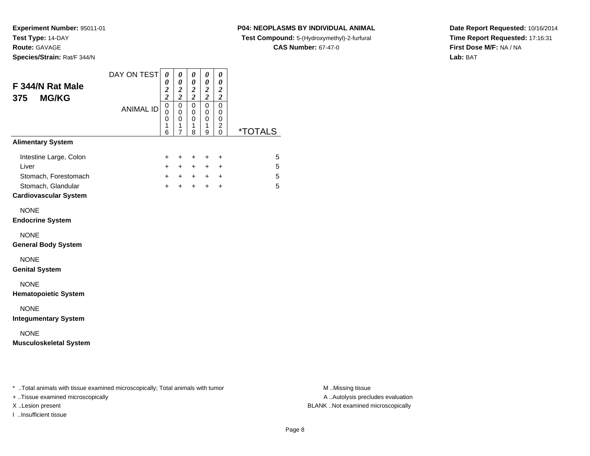I ..Insufficient tissue

**P04: NEOPLASMS BY INDIVIDUAL ANIMAL**

**Test Compound:** 5-(Hydroxymethyl)-2-furfural

**CAS Number:** 67-47-0

**Date Report Requested:** 10/16/2014**Time Report Requested:** 17:16:31**First Dose M/F:** NA / NA**Lab:** BAT

| F 344/N Rat Male<br><b>MG/KG</b><br>375                                                                       | DAY ON TEST      | 0<br>0<br>$\frac{2}{2}$                    | 0<br>$\pmb{\theta}$<br>$\boldsymbol{2}$<br>$\overline{2}$ | 0<br>$\pmb{\theta}$<br>$\frac{2}{2}$ | 0<br>$\pmb{\theta}$<br>$\boldsymbol{2}$<br>$\overline{2}$ | 0<br>$\boldsymbol{\theta}$<br>$\boldsymbol{2}$<br>$\overline{2}$ |                       |
|---------------------------------------------------------------------------------------------------------------|------------------|--------------------------------------------|-----------------------------------------------------------|--------------------------------------|-----------------------------------------------------------|------------------------------------------------------------------|-----------------------|
|                                                                                                               | <b>ANIMAL ID</b> | $\mathbf 0$<br>0<br>0<br>$\mathbf{1}$<br>6 | $\mathbf 0$<br>0<br>0<br>1<br>7                           | $\pmb{0}$<br>0<br>0<br>1<br>8        | $\pmb{0}$<br>0<br>0<br>1<br>9                             | 0<br>0<br>0<br>2<br>0                                            | <i><b>*TOTALS</b></i> |
| <b>Alimentary System</b>                                                                                      |                  |                                            |                                                           |                                      |                                                           |                                                                  |                       |
| Intestine Large, Colon<br>Liver<br>Stomach, Forestomach<br>Stomach, Glandular<br><b>Cardiovascular System</b> |                  | +<br>$+$<br>$+$<br>$+$                     | $\ddot{}$<br>$+$<br>$+$<br>$+$                            | $\ddot{}$<br>$+$<br>$+$<br>$+$       | +<br>$+$<br>$+$<br>$+$                                    | $\ddot{}$<br>$\ddot{}$<br>$\ddot{}$<br>$+$                       | 5<br>5<br>5<br>5      |
| <b>NONE</b><br><b>Endocrine System</b>                                                                        |                  |                                            |                                                           |                                      |                                                           |                                                                  |                       |
| <b>NONE</b><br><b>General Body System</b>                                                                     |                  |                                            |                                                           |                                      |                                                           |                                                                  |                       |
| <b>NONE</b><br><b>Genital System</b>                                                                          |                  |                                            |                                                           |                                      |                                                           |                                                                  |                       |
| <b>NONE</b><br><b>Hematopoietic System</b>                                                                    |                  |                                            |                                                           |                                      |                                                           |                                                                  |                       |
| <b>NONE</b><br><b>Integumentary System</b>                                                                    |                  |                                            |                                                           |                                      |                                                           |                                                                  |                       |
| <b>NONE</b><br><b>Musculoskeletal System</b>                                                                  |                  |                                            |                                                           |                                      |                                                           |                                                                  |                       |
| * Total animals with tissue examined microscopically; Total animals with tumor                                |                  |                                            |                                                           |                                      |                                                           |                                                                  |                       |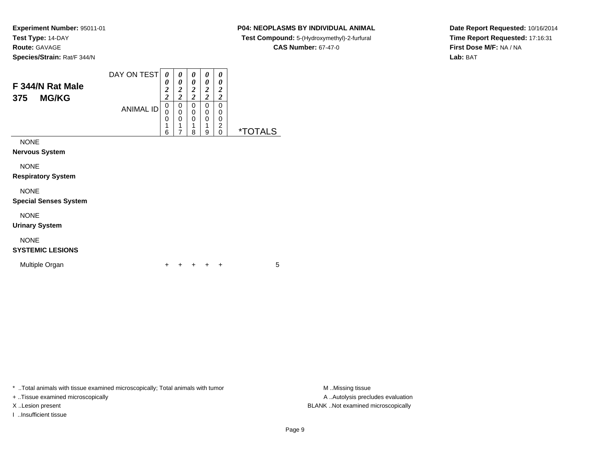### **P04: NEOPLASMS BY INDIVIDUAL ANIMAL**

**Test Compound:** 5-(Hydroxymethyl)-2-furfural

**CAS Number:** 67-47-0

**Date Report Requested:** 10/16/2014**Time Report Requested:** 17:16:31**First Dose M/F:** NA / NA**Lab:** BAT

| DAY ON TEST<br><b>ANIMAL ID</b> | 0<br>0<br>$\boldsymbol{2}$<br>$\overline{2}$<br>0<br>0<br>0<br>1<br>л.<br>6 | 0<br>0<br>$\overline{c}$<br>$\overline{2}$<br>0<br>0<br>0<br>4<br>7 | 0<br>0<br>2<br>2<br>0<br>0<br>0<br>-4<br>8 | 0<br>0<br>2<br>7<br>0<br>0<br>0<br>4<br>9 | 0<br>0<br>2<br>2<br>0<br>0<br>0<br>っ<br>0 | *. |
|---------------------------------|-----------------------------------------------------------------------------|---------------------------------------------------------------------|--------------------------------------------|-------------------------------------------|-------------------------------------------|----|
|                                 |                                                                             |                                                                     |                                            |                                           |                                           |    |
|                                 |                                                                             |                                                                     |                                            |                                           |                                           |    |

NONE

**Respiratory System**

### NONE

**Special Senses System**

NONE

**Urinary System**

## NONE

### **SYSTEMIC LESIONS**

Multiple Organn  $+$ 

<sup>+</sup> <sup>+</sup> <sup>+</sup> <sup>+</sup> <sup>5</sup>

\* ..Total animals with tissue examined microscopically; Total animals with tumor **M** ...Missing tissue M ...Missing tissue

+ ..Tissue examined microscopically

I ..Insufficient tissue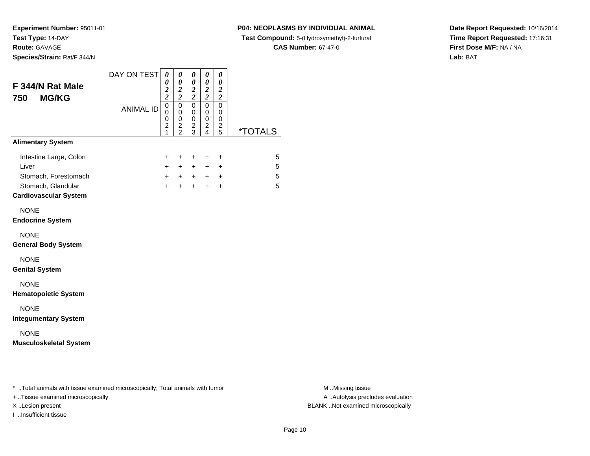**Species/Strain:** Rat/F 344/N

### **P04: NEOPLASMS BY INDIVIDUAL ANIMAL**

**Test Compound:** 5-(Hydroxymethyl)-2-furfural

**CAS Number:** 67-47-0

**Date Report Requested:** 10/16/2014**Time Report Requested:** 17:16:31**First Dose M/F:** NA / NA**Lab:** BAT

| F 344/N Rat Male<br><b>MG/KG</b><br>750                                                                       | DAY ON TEST      | 0<br>0<br>$\frac{2}{2}$                                 | 0<br>$\pmb{\theta}$<br>$\frac{2}{2}$      | 0<br>0<br>$\frac{2}{2}$                | 0<br>0<br>$\boldsymbol{2}$<br>$\overline{2}$ | 0<br>$\boldsymbol{\theta}$<br>$\boldsymbol{2}$<br>$\boldsymbol{2}$ |                       |
|---------------------------------------------------------------------------------------------------------------|------------------|---------------------------------------------------------|-------------------------------------------|----------------------------------------|----------------------------------------------|--------------------------------------------------------------------|-----------------------|
|                                                                                                               | <b>ANIMAL ID</b> | $\mathsf 0$<br>0<br>0<br>$\overline{2}$<br>$\mathbf{1}$ | $\overline{0}$<br>0<br>0<br>$\frac{2}{2}$ | 0<br>$\mathbf 0$<br>0<br>$\frac{2}{3}$ | $\overline{0}$<br>0<br>0<br>$\frac{2}{4}$    | $\overline{0}$<br>$\mathbf 0$<br>0<br>$\frac{2}{5}$                | <i><b>*TOTALS</b></i> |
| <b>Alimentary System</b>                                                                                      |                  |                                                         |                                           |                                        |                                              |                                                                    |                       |
| Intestine Large, Colon<br>Liver<br>Stomach, Forestomach<br>Stomach, Glandular<br><b>Cardiovascular System</b> |                  | $\ddot{}$<br>$+$<br>$+$<br>$+$                          | +<br>$+$<br>$+$<br>$\ddot{}$              | $\ddot{}$<br>$+$<br>$+$<br>$+$         | +<br>$+$<br>$+$<br>$+$                       | $\ddot{}$<br>$\ddot{}$<br>$\ddot{}$<br>$\ddot{}$                   | 5<br>5<br>5<br>5      |
| <b>NONE</b><br><b>Endocrine System</b>                                                                        |                  |                                                         |                                           |                                        |                                              |                                                                    |                       |
| <b>NONE</b><br><b>General Body System</b>                                                                     |                  |                                                         |                                           |                                        |                                              |                                                                    |                       |
| <b>NONE</b><br><b>Genital System</b>                                                                          |                  |                                                         |                                           |                                        |                                              |                                                                    |                       |
| <b>NONE</b><br><b>Hematopoietic System</b>                                                                    |                  |                                                         |                                           |                                        |                                              |                                                                    |                       |
| <b>NONE</b><br><b>Integumentary System</b>                                                                    |                  |                                                         |                                           |                                        |                                              |                                                                    |                       |
| <b>NONE</b><br><b>Musculoskeletal System</b>                                                                  |                  |                                                         |                                           |                                        |                                              |                                                                    |                       |
|                                                                                                               |                  |                                                         |                                           |                                        |                                              |                                                                    |                       |
| * Total animals with tissue examined microscopically; Total animals with tumor                                |                  |                                                         |                                           |                                        |                                              |                                                                    |                       |

+ ..Tissue examined microscopically

I ..Insufficient tissue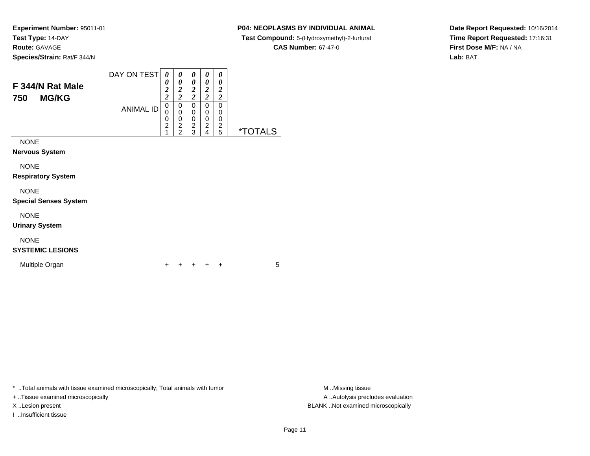### **P04: NEOPLASMS BY INDIVIDUAL ANIMAL**

**Test Compound:** 5-(Hydroxymethyl)-2-furfural

**CAS Number:** 67-47-0

**Date Report Requested:** 10/16/2014**Time Report Requested:** 17:16:31**First Dose M/F:** NA / NA**Lab:** BAT

| F 344/N Rat Male<br><b>MG/KG</b><br>750 | DAY ON TEST<br><b>ANIMAL ID</b> | 0<br>0<br>$\overline{2}$<br>$\overline{2}$<br>0<br>U<br>0<br>$\overline{2}$ | 0<br>0<br>2<br>◠<br>∠<br>0<br>0<br>0<br>2<br>ົ | $\theta$<br>0<br>2<br>2<br>0<br>0<br>0<br>2<br>з | 0<br>0<br>2<br>2<br>0<br>0<br>0<br>2<br>4 | 0<br>0<br>2<br>2<br>0<br>0<br>0<br>2<br>5 | *.<br>-S |
|-----------------------------------------|---------------------------------|-----------------------------------------------------------------------------|------------------------------------------------|--------------------------------------------------|-------------------------------------------|-------------------------------------------|----------|
| <b>NONE</b><br><b>Nervous System</b>    |                                 |                                                                             |                                                |                                                  |                                           |                                           |          |

NONE

**Respiratory System**

NONE

**Special Senses System**

NONE

**Urinary System**

## NONE

### **SYSTEMIC LESIONS**

Multiple Organn  $+$ 

<sup>+</sup> <sup>+</sup> <sup>+</sup> <sup>+</sup> <sup>5</sup>

\* ..Total animals with tissue examined microscopically; Total animals with tumor M..Missing tissue

+ ..Tissue examined microscopically

I ..Insufficient tissue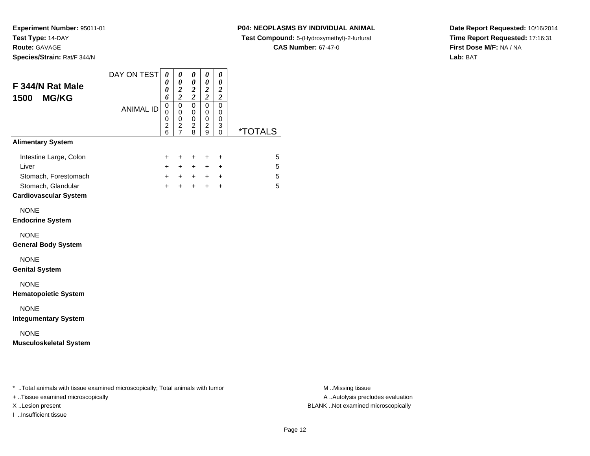### **P04: NEOPLASMS BY INDIVIDUAL ANIMAL**

**Test Compound:** 5-(Hydroxymethyl)-2-furfural

**CAS Number:** 67-47-0

**Date Report Requested:** 10/16/2014**Time Report Requested:** 17:16:31**First Dose M/F:** NA / NA**Lab:** BAT

| <b>ANIMAL ID</b> | 6<br>$\mathsf 0$<br>$\mathbf 0$<br>0<br>$\overline{\mathbf{c}}$<br>6<br>+ | $\frac{2}{2}$<br>$\mathsf 0$<br>$\mathbf 0$<br>$\pmb{0}$<br>$\frac{2}{7}$ | $\frac{2}{2}$<br>$\overline{0}$<br>$\mathbf 0$<br>$\pmb{0}$<br>$\overline{\mathbf{c}}$<br>8 | $\frac{2}{2}$<br>$\mathbf 0$<br>$\mathbf 0$<br>0<br>$\overline{c}$<br>9 | $\overline{c}$<br>$\mathbf 0$<br>$\mathbf 0$<br>0<br>3<br>0 | <i><b>*TOTALS</b></i>                                                          |
|------------------|---------------------------------------------------------------------------|---------------------------------------------------------------------------|---------------------------------------------------------------------------------------------|-------------------------------------------------------------------------|-------------------------------------------------------------|--------------------------------------------------------------------------------|
|                  |                                                                           |                                                                           |                                                                                             |                                                                         |                                                             |                                                                                |
|                  |                                                                           |                                                                           |                                                                                             |                                                                         |                                                             |                                                                                |
|                  | $\ddot{}$<br>$\ddot{}$<br>$+$                                             | +<br>$+$<br>$+$<br>$+$                                                    | $\ddot{}$<br>$\ddot{}$<br>$+$<br>$+$                                                        | $\ddot{}$<br>$+$<br>$+$<br>$+$                                          | $\ddot{}$<br>$\ddot{}$<br>$\ddot{}$<br>$\ddot{}$            | 5<br>5<br>5<br>5                                                               |
|                  |                                                                           |                                                                           |                                                                                             |                                                                         |                                                             |                                                                                |
|                  |                                                                           |                                                                           |                                                                                             |                                                                         |                                                             |                                                                                |
|                  |                                                                           |                                                                           |                                                                                             |                                                                         |                                                             |                                                                                |
|                  |                                                                           |                                                                           |                                                                                             |                                                                         |                                                             |                                                                                |
|                  |                                                                           |                                                                           |                                                                                             |                                                                         |                                                             |                                                                                |
|                  |                                                                           |                                                                           |                                                                                             |                                                                         |                                                             |                                                                                |
|                  |                                                                           |                                                                           |                                                                                             |                                                                         |                                                             |                                                                                |
|                  |                                                                           |                                                                           |                                                                                             |                                                                         |                                                             |                                                                                |
|                  |                                                                           |                                                                           |                                                                                             |                                                                         |                                                             | * Total animals with tissue examined microscopically; Total animals with tumor |

+ ..Tissue examined microscopically

I ..Insufficient tissue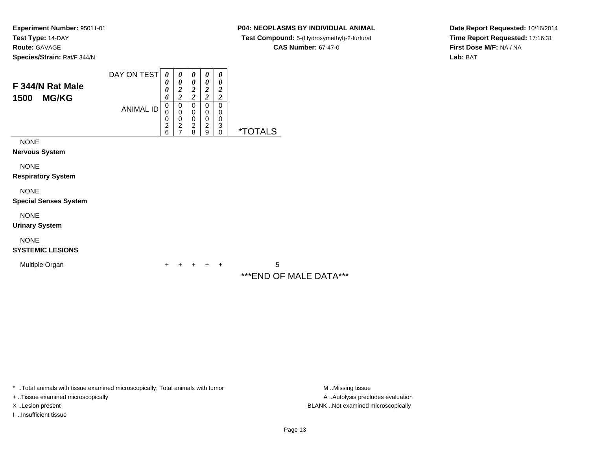### **P04: NEOPLASMS BY INDIVIDUAL ANIMAL**

 **Test Compound:** 5-(Hydroxymethyl)-2-furfural **CAS Number:** 67-47-0

**Date Report Requested:** 10/16/2014**Time Report Requested:** 17:16:31**First Dose M/F:** NA / NA**Lab:** BAT

| F 344/N Rat Male          | DAY ON TEST      | 0<br>0                        | 0<br>0                             | 0<br>0                        | 0<br>0                        | 0<br>0                |                       |
|---------------------------|------------------|-------------------------------|------------------------------------|-------------------------------|-------------------------------|-----------------------|-----------------------|
| <b>MG/KG</b><br>1500      |                  | 0<br>6                        | $\overline{2}$<br>2                | 2<br>$\overline{c}$           | $\overline{2}$<br>2           | $\boldsymbol{2}$<br>2 |                       |
|                           | <b>ANIMAL ID</b> | 0<br>0<br>0<br>$\overline{2}$ | 0<br>0<br>0<br>$\overline{2}$<br>7 | 0<br>0<br>0<br>$\overline{2}$ | 0<br>0<br>0<br>$\overline{2}$ | 0<br>0<br>0<br>3      |                       |
| <b>NONE</b>               |                  | 6                             |                                    | 8                             | 9                             | $\mathbf 0$           | <i><b>*TOTALS</b></i> |
| <b>Nervous System</b>     |                  |                               |                                    |                               |                               |                       |                       |
| <b>NONE</b>               |                  |                               |                                    |                               |                               |                       |                       |
| <b>Respiratory System</b> |                  |                               |                                    |                               |                               |                       |                       |
| <b>NIONIE</b>             |                  |                               |                                    |                               |                               |                       |                       |

NONE

**Special Senses System**

NONE

**Urinary System**

NONE

**SYSTEMIC LESIONS**

Multiple Organn  $+$ 

 <sup>+</sup> <sup>+</sup> <sup>+</sup> <sup>+</sup> <sup>5</sup> \*\*\*END OF MALE DATA\*\*\*

\* ..Total animals with tissue examined microscopically; Total animals with tumor

+ ..Tissue examined microscopically

I ..Insufficient tissue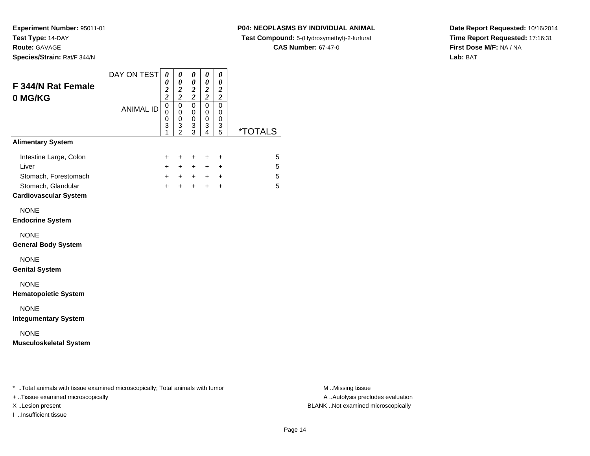**Experiment Number:** 95011-01**Test Type:** 14-DAY

**Route:** GAVAGE

**Species/Strain:** Rat/F 344/N

### **P04: NEOPLASMS BY INDIVIDUAL ANIMAL**

**Test Compound:** 5-(Hydroxymethyl)-2-furfural

**CAS Number:** 67-47-0

**Date Report Requested:** 10/16/2014**Time Report Requested:** 17:16:31**First Dose M/F:** NA / NA**Lab:** BAT

| $\frac{2}{2}$<br>$\mathbf 0$<br>0<br>$\mathbf 0$<br>$\overline{3}$<br>1<br>+<br>$\ddot{}$<br>$+$<br>$+$ | $\frac{2}{2}$<br>$\overline{0}$<br>0<br>$\mathsf 0$<br>$\frac{3}{2}$<br>$\ddot{}$<br>$\ddot{}$<br>$+$<br>$+$ | $\frac{2}{2}$<br>$\overline{0}$<br>$\mathbf 0$<br>$\mathsf 0$<br>$\frac{3}{3}$<br>+<br>$+$<br>$+$<br>$+$ $-$ | $\overline{\mathbf{c}}$<br>$\overline{0}$<br>0<br>0<br>3<br>4<br>$\ddot{}$<br>$+$<br>$+$<br>$+$ | $\boldsymbol{2}$<br>$\mathbf 0$<br>0<br>0<br>3<br>5<br>$\ddot{}$<br>$\ddot{}$<br>$\ddot{}$<br>$\ddot{}$ | <i><b>*TOTALS</b></i> | 5<br>5<br>5<br>5 |
|---------------------------------------------------------------------------------------------------------|--------------------------------------------------------------------------------------------------------------|--------------------------------------------------------------------------------------------------------------|-------------------------------------------------------------------------------------------------|---------------------------------------------------------------------------------------------------------|-----------------------|------------------|
|                                                                                                         |                                                                                                              |                                                                                                              |                                                                                                 |                                                                                                         |                       |                  |
|                                                                                                         |                                                                                                              |                                                                                                              |                                                                                                 |                                                                                                         |                       |                  |
|                                                                                                         |                                                                                                              |                                                                                                              |                                                                                                 |                                                                                                         |                       |                  |
|                                                                                                         |                                                                                                              |                                                                                                              |                                                                                                 |                                                                                                         |                       |                  |
|                                                                                                         |                                                                                                              |                                                                                                              |                                                                                                 |                                                                                                         |                       |                  |
|                                                                                                         |                                                                                                              |                                                                                                              |                                                                                                 |                                                                                                         |                       |                  |
|                                                                                                         |                                                                                                              |                                                                                                              |                                                                                                 |                                                                                                         |                       |                  |
|                                                                                                         |                                                                                                              |                                                                                                              |                                                                                                 |                                                                                                         |                       |                  |
|                                                                                                         |                                                                                                              |                                                                                                              |                                                                                                 |                                                                                                         |                       |                  |
|                                                                                                         |                                                                                                              |                                                                                                              |                                                                                                 |                                                                                                         |                       |                  |

+ ..Tissue examined microscopically

I ..Insufficient tissue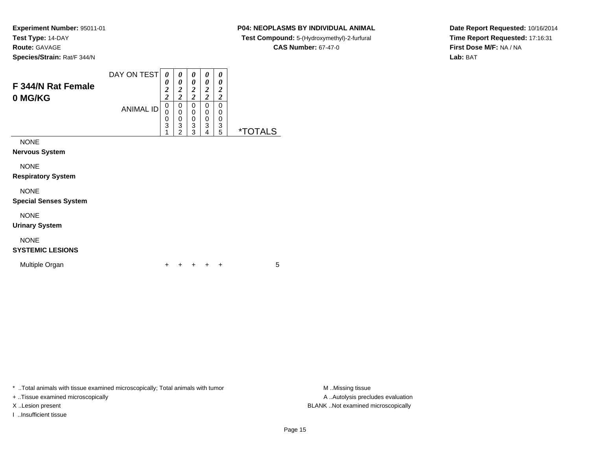**Species/Strain:** Rat/F 344/N

### **P04: NEOPLASMS BY INDIVIDUAL ANIMAL**

**Test Compound:** 5-(Hydroxymethyl)-2-furfural

**CAS Number:** 67-47-0

**Date Report Requested:** 10/16/2014**Time Report Requested:** 17:16:31**First Dose M/F:** NA / NA**Lab:** BAT

| F 344/N Rat Female<br>0 MG/KG        | DAY ON TEST<br><b>ANIMAL ID</b> | 0<br>0<br>$\overline{2}$<br>$\overline{\mathbf{c}}$<br>0<br>0<br>0<br>3<br>A | 0<br>0<br>2<br>2<br>0<br>0<br>0<br>3<br>າ | 0<br>0<br>2<br>2<br>0<br>0<br>0<br>3<br>3 | 0<br>0<br>2<br>2<br>0<br>0<br>0<br>3<br>4 | 0<br>0<br>$\overline{2}$<br>2<br>0<br>0<br>0<br>3<br>5 | ਾਂ ⊺ਾਂ<br>۱S |
|--------------------------------------|---------------------------------|------------------------------------------------------------------------------|-------------------------------------------|-------------------------------------------|-------------------------------------------|--------------------------------------------------------|--------------|
| <b>NONE</b><br><b>Nervous System</b> |                                 |                                                                              |                                           |                                           |                                           |                                                        |              |

NONE

**Respiratory System**

### NONE

**Special Senses System**

NONE

**Urinary System**

## NONE

### **SYSTEMIC LESIONS**

Multiple Organn  $+$ 

<sup>+</sup> <sup>+</sup> <sup>+</sup> <sup>+</sup> <sup>5</sup>

\* ..Total animals with tissue examined microscopically; Total animals with tumor **M** . Missing tissue M ..Missing tissue

+ ..Tissue examined microscopically

I ..Insufficient tissue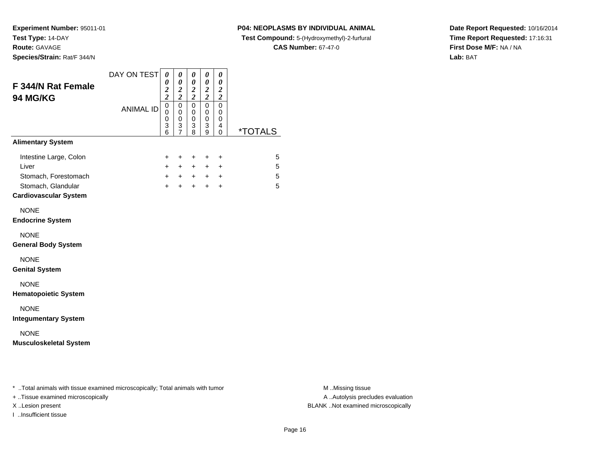### **P04: NEOPLASMS BY INDIVIDUAL ANIMAL**

**Test Compound:** 5-(Hydroxymethyl)-2-furfural

**CAS Number:** 67-47-0

**Date Report Requested:** 10/16/2014**Time Report Requested:** 17:16:31**First Dose M/F:** NA / NA**Lab:** BAT

| <b>F 344/N Rat Female</b><br><b>94 MG/KG</b>                                                                  | DAY ON TEST      | $\boldsymbol{\theta}$<br>$\pmb{\theta}$<br>$\overline{\mathbf{c}}$<br>$\overline{\mathbf{c}}$ | 0<br>$\boldsymbol{\theta}$<br>$\overline{\mathbf{c}}$<br>$\overline{\mathbf{c}}$ | 0<br>$\pmb{\theta}$<br>$\frac{2}{2}$ | 0<br>$\pmb{\theta}$<br>$\boldsymbol{2}$<br>$\boldsymbol{2}$ | 0<br>$\boldsymbol{\theta}$<br>$\boldsymbol{2}$<br>$\boldsymbol{2}$ |                       |
|---------------------------------------------------------------------------------------------------------------|------------------|-----------------------------------------------------------------------------------------------|----------------------------------------------------------------------------------|--------------------------------------|-------------------------------------------------------------|--------------------------------------------------------------------|-----------------------|
|                                                                                                               | <b>ANIMAL ID</b> | $\mathbf 0$<br>$\mathbf 0$<br>0<br>$\ensuremath{\mathsf{3}}$<br>6                             | 0<br>$\mathbf 0$<br>0<br>3<br>$\overline{7}$                                     | $\pmb{0}$<br>0<br>0<br>3<br>8        | $\mathbf 0$<br>$\mathbf 0$<br>$\pmb{0}$<br>3<br>9           | $\mathbf 0$<br>$\mathbf 0$<br>0<br>4<br>0                          | <i><b>*TOTALS</b></i> |
| <b>Alimentary System</b>                                                                                      |                  |                                                                                               |                                                                                  |                                      |                                                             |                                                                    |                       |
| Intestine Large, Colon<br>Liver<br>Stomach, Forestomach<br>Stomach, Glandular<br><b>Cardiovascular System</b> |                  | +<br>$\ddot{}$<br>$+$<br>$+$                                                                  | +<br>$+$<br>$+$<br>$+$                                                           | $\ddot{}$<br>$+$<br>$+$<br>$+$       | +<br>$+$<br>$+$<br>$+$                                      | $\ddot{}$<br>$\ddot{}$<br>$\ddot{}$<br>$+$                         | 5<br>5<br>5<br>5      |
| <b>NONE</b><br><b>Endocrine System</b>                                                                        |                  |                                                                                               |                                                                                  |                                      |                                                             |                                                                    |                       |
| <b>NONE</b><br><b>General Body System</b>                                                                     |                  |                                                                                               |                                                                                  |                                      |                                                             |                                                                    |                       |
| <b>NONE</b><br><b>Genital System</b>                                                                          |                  |                                                                                               |                                                                                  |                                      |                                                             |                                                                    |                       |
| <b>NONE</b><br><b>Hematopoietic System</b>                                                                    |                  |                                                                                               |                                                                                  |                                      |                                                             |                                                                    |                       |
| <b>NONE</b><br><b>Integumentary System</b>                                                                    |                  |                                                                                               |                                                                                  |                                      |                                                             |                                                                    |                       |
| <b>NONE</b><br><b>Musculoskeletal System</b>                                                                  |                  |                                                                                               |                                                                                  |                                      |                                                             |                                                                    |                       |
|                                                                                                               |                  |                                                                                               |                                                                                  |                                      |                                                             |                                                                    |                       |

+ ..Tissue examined microscopically

I ..Insufficient tissue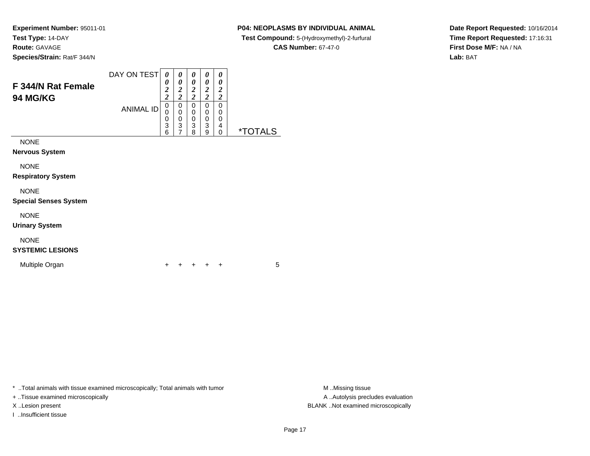### **P04: NEOPLASMS BY INDIVIDUAL ANIMAL**

**Test Compound:** 5-(Hydroxymethyl)-2-furfural

**CAS Number:** 67-47-0

**Date Report Requested:** 10/16/2014**Time Report Requested:** 17:16:31**First Dose M/F:** NA / NA**Lab:** BAT

| F 344/N Rat Female<br><b>94 MG/KG</b> | DAY ON TEST      | 0<br>0<br>$\boldsymbol{2}$<br>$\boldsymbol{2}$ | 0<br>0<br>$\overline{2}$<br>7<br>$\overline{2}$ | 0<br>0<br>2<br>2      | 0<br>0<br>2<br>ำ      | 0<br>0<br>2<br>2      |           |
|---------------------------------------|------------------|------------------------------------------------|-------------------------------------------------|-----------------------|-----------------------|-----------------------|-----------|
|                                       | <b>ANIMAL ID</b> | 0<br>0<br>0<br>3<br>6                          | 0<br>0<br>0<br>3                                | 0<br>0<br>0<br>3<br>8 | 0<br>0<br>0<br>3<br>g | 0<br>0<br>0<br>4<br>O | ∗٦<br>∣ S |
| <b>NONE</b><br><b>Nervous System</b>  |                  |                                                |                                                 |                       |                       |                       |           |

NONE

**Respiratory System**

### NONE

**Special Senses System**

NONE

**Urinary System**

## NONE

### **SYSTEMIC LESIONS**

Multiple Organn  $+$ 

<sup>+</sup> <sup>+</sup> <sup>+</sup> <sup>+</sup> <sup>5</sup>

\* ..Total animals with tissue examined microscopically; Total animals with tumor **M** ...Missing tissue M ...Missing tissue

+ ..Tissue examined microscopically

I ..Insufficient tissue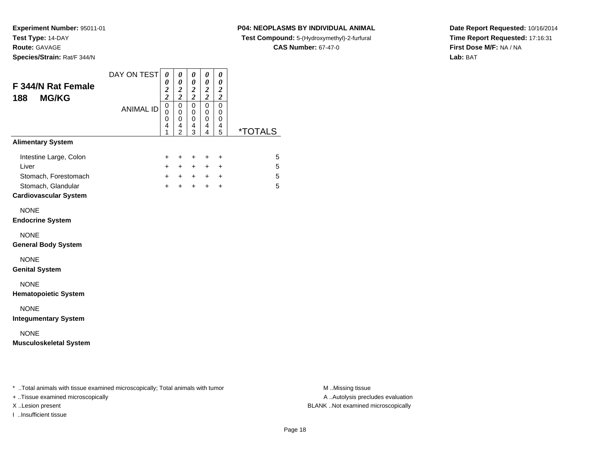**Species/Strain:** Rat/F 344/N

#### **P04: NEOPLASMS BY INDIVIDUAL ANIMAL**

**Test Compound:** 5-(Hydroxymethyl)-2-furfural

**CAS Number:** 67-47-0

**Date Report Requested:** 10/16/2014**Time Report Requested:** 17:16:31**First Dose M/F:** NA / NA**Lab:** BAT

| <b>F 344/N Rat Female</b><br><b>MG/KG</b><br>188                                                              | DAY ON TEST      | 0<br>0<br>$\overline{\mathbf{c}}$<br>$\overline{\mathbf{c}}$ | 0<br>$\boldsymbol{\theta}$<br>$\boldsymbol{2}$<br>$\overline{2}$ | 0<br>0<br>$\boldsymbol{2}$<br>$\overline{\mathbf{c}}$ | 0<br>0<br>$\boldsymbol{2}$<br>$\overline{\mathbf{c}}$ | 0<br>$\boldsymbol{\theta}$<br>$\boldsymbol{2}$<br>$\overline{\mathbf{c}}$ |                       |
|---------------------------------------------------------------------------------------------------------------|------------------|--------------------------------------------------------------|------------------------------------------------------------------|-------------------------------------------------------|-------------------------------------------------------|---------------------------------------------------------------------------|-----------------------|
|                                                                                                               | <b>ANIMAL ID</b> | $\mathbf 0$<br>0<br>$\mathbf 0$<br>4<br>1                    | $\mathbf 0$<br>0<br>$\mathbf 0$<br>4<br>2                        | $\mathbf 0$<br>0<br>$\mathbf 0$<br>4<br>3             | $\mathbf 0$<br>0<br>$\mathbf 0$<br>4<br>4             | $\mathbf 0$<br>0<br>$\mathbf 0$<br>4<br>5                                 | <i><b>*TOTALS</b></i> |
| <b>Alimentary System</b>                                                                                      |                  |                                                              |                                                                  |                                                       |                                                       |                                                                           |                       |
| Intestine Large, Colon<br>Liver<br>Stomach, Forestomach<br>Stomach, Glandular<br><b>Cardiovascular System</b> |                  | +<br>$+$<br>$+$<br>$+$                                       | $\ddot{}$<br>$+$<br>$+$<br>$+$                                   | +<br>$+$<br>$+$<br>$\ddot{}$                          | $\ddot{}$<br>$\ddot{}$<br>$+$<br>$\ddot{}$            | $\ddot{}$<br>$\ddot{}$<br>$\ddot{}$<br>$\ddot{}$                          | 5<br>5<br>5<br>5      |
| <b>NONE</b><br><b>Endocrine System</b>                                                                        |                  |                                                              |                                                                  |                                                       |                                                       |                                                                           |                       |
| <b>NONE</b><br><b>General Body System</b>                                                                     |                  |                                                              |                                                                  |                                                       |                                                       |                                                                           |                       |
| <b>NONE</b><br><b>Genital System</b>                                                                          |                  |                                                              |                                                                  |                                                       |                                                       |                                                                           |                       |
| <b>NONE</b><br><b>Hematopoietic System</b>                                                                    |                  |                                                              |                                                                  |                                                       |                                                       |                                                                           |                       |
| <b>NONE</b><br><b>Integumentary System</b>                                                                    |                  |                                                              |                                                                  |                                                       |                                                       |                                                                           |                       |
| <b>NONE</b><br><b>Musculoskeletal System</b>                                                                  |                  |                                                              |                                                                  |                                                       |                                                       |                                                                           |                       |
| * Total animals with tissue examined microscopically; Total animals with tumor                                |                  |                                                              |                                                                  |                                                       |                                                       |                                                                           |                       |

+ ..Tissue examined microscopically

I ..Insufficient tissue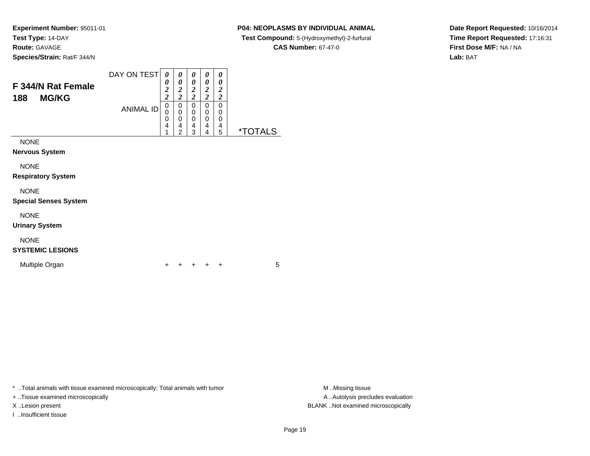### **P04: NEOPLASMS BY INDIVIDUAL ANIMAL**

**Test Compound:** 5-(Hydroxymethyl)-2-furfural

**CAS Number:** 67-47-0

**Date Report Requested:** 10/16/2014**Time Report Requested:** 17:16:31**First Dose M/F:** NA / NA**Lab:** BAT

| <b>F 344/N Rat Female</b><br><b>MG/KG</b><br>188 | DAY ON TEST<br><b>ANIMAL ID</b> | 0<br>0<br>$\boldsymbol{2}$<br>2<br>0<br>0<br>0<br>4<br>$\overline{A}$ | 0<br>0<br>2<br>2<br>0<br>0<br>0<br>4<br>2 | 0<br>0<br>2<br>2<br>0<br>0<br>0<br>4<br>3 | 0<br>0<br>2<br>ኅ<br>0<br>0<br>0<br>$\overline{4}$<br>4 | 0<br>0<br>2<br>2<br>0<br>0<br>0<br>4<br>5 | $^{\star-}$ |
|--------------------------------------------------|---------------------------------|-----------------------------------------------------------------------|-------------------------------------------|-------------------------------------------|--------------------------------------------------------|-------------------------------------------|-------------|
| <b>NONE</b><br><b>Nervous System</b>             |                                 |                                                                       |                                           |                                           |                                                        |                                           |             |

NONE

**Respiratory System**

### NONE

**Special Senses System**

NONE

**Urinary System**

## NONE

### **SYSTEMIC LESIONS**

Multiple Organn  $+$ 

<sup>+</sup> <sup>+</sup> <sup>+</sup> <sup>+</sup> <sup>5</sup>

\* ..Total animals with tissue examined microscopically; Total animals with tumor **M** ...Missing tissue M ...Missing tissue

+ ..Tissue examined microscopically

I ..Insufficient tissue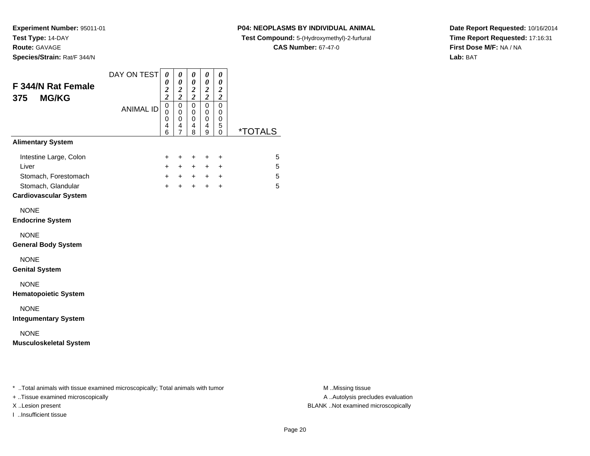**Species/Strain:** Rat/F 344/N

### **P04: NEOPLASMS BY INDIVIDUAL ANIMAL**

**Test Compound:** 5-(Hydroxymethyl)-2-furfural

**CAS Number:** 67-47-0

**Date Report Requested:** 10/16/2014**Time Report Requested:** 17:16:31**First Dose M/F:** NA / NA**Lab:** BAT

| F 344/N Rat Female<br><b>MG/KG</b><br>375                                                                                               | DAY ON TEST      | 0<br>0<br>$\frac{2}{2}$                | 0<br>$\boldsymbol{\theta}$<br>$\boldsymbol{2}$<br>$\overline{\mathbf{c}}$ | 0<br>$\pmb{\theta}$<br>$\frac{2}{2}$      | 0<br>$\pmb{\theta}$<br>$\boldsymbol{2}$<br>$\overline{\mathbf{c}}$ | 0<br>$\boldsymbol{\theta}$<br>$\boldsymbol{2}$<br>$\boldsymbol{2}$ |                       |
|-----------------------------------------------------------------------------------------------------------------------------------------|------------------|----------------------------------------|---------------------------------------------------------------------------|-------------------------------------------|--------------------------------------------------------------------|--------------------------------------------------------------------|-----------------------|
|                                                                                                                                         | <b>ANIMAL ID</b> | $\mathsf 0$<br>$\Omega$<br>0<br>4<br>6 | $\overline{0}$<br>0<br>$\mathbf 0$<br>4<br>7                              | $\mathbf 0$<br>0<br>$\mathbf 0$<br>4<br>8 | $\mathbf 0$<br>0<br>$\mathbf 0$<br>4<br>9                          | $\mathbf 0$<br>0<br>0<br>5<br>0                                    | <i><b>*TOTALS</b></i> |
| <b>Alimentary System</b>                                                                                                                |                  |                                        |                                                                           |                                           |                                                                    |                                                                    |                       |
| Intestine Large, Colon<br>Liver<br>Stomach, Forestomach<br>Stomach, Glandular<br><b>Cardiovascular System</b>                           |                  | $\ddot{}$<br>$+$<br>$+$<br>$+$         | $\ddot{}$<br>$+$<br>$+$<br>$+$                                            | $\ddot{}$<br>$+$<br>$+$<br>$+$            | $\ddot{}$<br>$+$<br>$+$<br>$+$                                     | $\ddot{}$<br>$+$<br>$\ddot{}$<br>$\ddot{}$                         | 5<br>5<br>5<br>5      |
| <b>NONE</b><br><b>Endocrine System</b>                                                                                                  |                  |                                        |                                                                           |                                           |                                                                    |                                                                    |                       |
| <b>NONE</b><br><b>General Body System</b>                                                                                               |                  |                                        |                                                                           |                                           |                                                                    |                                                                    |                       |
| <b>NONE</b><br><b>Genital System</b>                                                                                                    |                  |                                        |                                                                           |                                           |                                                                    |                                                                    |                       |
| <b>NONE</b><br><b>Hematopoietic System</b>                                                                                              |                  |                                        |                                                                           |                                           |                                                                    |                                                                    |                       |
| <b>NONE</b><br><b>Integumentary System</b>                                                                                              |                  |                                        |                                                                           |                                           |                                                                    |                                                                    |                       |
| <b>NONE</b><br><b>Musculoskeletal System</b>                                                                                            |                  |                                        |                                                                           |                                           |                                                                    |                                                                    |                       |
|                                                                                                                                         |                  |                                        |                                                                           |                                           |                                                                    |                                                                    |                       |
| * Total animals with tissue examined microscopically; Total animals with tumor<br>المتمالية والمستنقل والمستقصر المسترقة ومستقرر ومنافذ |                  |                                        |                                                                           |                                           |                                                                    |                                                                    |                       |

+ ..Tissue examined microscopically

I ..Insufficient tissue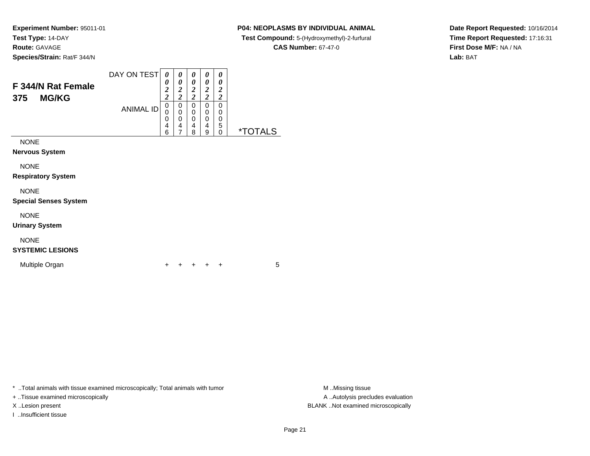### **P04: NEOPLASMS BY INDIVIDUAL ANIMAL**

**Test Compound:** 5-(Hydroxymethyl)-2-furfural

**CAS Number:** 67-47-0

**Date Report Requested:** 10/16/2014**Time Report Requested:** 17:16:31**First Dose M/F:** NA / NA**Lab:** BAT

| F 344/N Rat Female<br><b>MG/KG</b><br>375 | DAY ON TEST<br><b>ANIMAL ID</b> | 0<br>0<br>$\overline{2}$<br>$\overline{2}$<br>0<br>0<br>0<br>$\overline{4}$<br>6 | 0<br>0<br>2<br>ኅ<br>0<br>0<br>0<br>4<br>7 | 0<br>0<br>2<br>2<br>0<br>0<br>0<br>4<br>8 | 0<br>0<br>2<br>2<br>0<br>0<br>0<br>4<br>9 | 0<br>0<br>2<br>2<br>0<br>0<br>0<br>5<br>0 | ×٦<br>۱S |
|-------------------------------------------|---------------------------------|----------------------------------------------------------------------------------|-------------------------------------------|-------------------------------------------|-------------------------------------------|-------------------------------------------|----------|
| <b>NONE</b><br><b>Nervous System</b>      |                                 |                                                                                  |                                           |                                           |                                           |                                           |          |

NONE

**Respiratory System**

### NONE

**Special Senses System**

NONE

**Urinary System**

## NONE

### **SYSTEMIC LESIONS**

Multiple Organn  $+$ 

<sup>+</sup> <sup>+</sup> <sup>+</sup> <sup>+</sup> <sup>5</sup>

\* ..Total animals with tissue examined microscopically; Total animals with tumor **M** . Missing tissue M ..Missing tissue

+ ..Tissue examined microscopically

I ..Insufficient tissue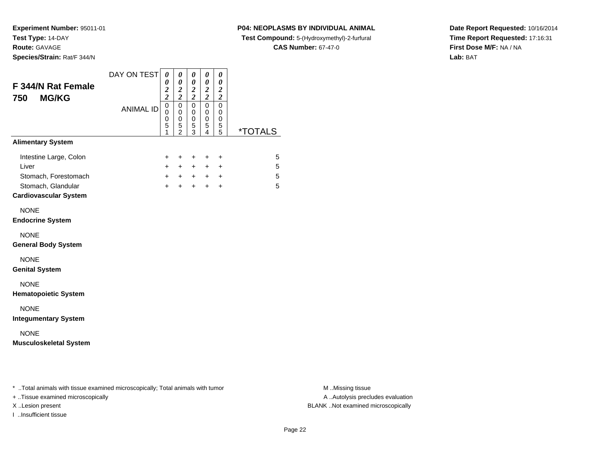**Species/Strain:** Rat/F 344/N

### **P04: NEOPLASMS BY INDIVIDUAL ANIMAL**

**Test Compound:** 5-(Hydroxymethyl)-2-furfural

**CAS Number:** 67-47-0

**Date Report Requested:** 10/16/2014**Time Report Requested:** 17:16:31**First Dose M/F:** NA / NA**Lab:** BAT

| DAY ON TEST<br>0<br>0<br>$\frac{2}{2}$                        | 0<br>$\pmb{\theta}$<br>$\frac{2}{2}$                      | 0<br>$\pmb{\theta}$<br>$\frac{2}{2}$      | 0<br>0<br>$\boldsymbol{2}$<br>$\overline{c}$ | 0<br>$\boldsymbol{\theta}$<br>$\boldsymbol{2}$<br>$\overline{\mathbf{c}}$ |                                                                                |
|---------------------------------------------------------------|-----------------------------------------------------------|-------------------------------------------|----------------------------------------------|---------------------------------------------------------------------------|--------------------------------------------------------------------------------|
| $\mathbf 0$<br><b>ANIMAL ID</b><br>0<br>$\mathbf 0$<br>5<br>1 | $\overline{0}$<br>0<br>$\mathsf 0$<br>5<br>$\overline{2}$ | $\mathsf 0$<br>0<br>$\mathsf 0$<br>5<br>3 | $\overline{0}$<br>0<br>0<br>5<br>4           | $\mathbf 0$<br>0<br>0<br>5<br>$\overline{5}$                              | <i><b>*TOTALS</b></i>                                                          |
|                                                               |                                                           |                                           |                                              |                                                                           |                                                                                |
| $\ddot{}$<br>$+$<br>$+$<br>$+$                                | $\ddot{}$<br>$+$<br>$+$<br>$+$                            | $\ddot{}$<br>$+$<br>$+$<br>$+$            | $\ddot{}$<br>$+$<br>$+$<br>$\ddot{}$         | $\ddot{}$<br>$+$<br>$\ddot{}$<br>$\ddot{}$                                | 5<br>5<br>5<br>5                                                               |
|                                                               |                                                           |                                           |                                              |                                                                           |                                                                                |
|                                                               |                                                           |                                           |                                              |                                                                           |                                                                                |
|                                                               |                                                           |                                           |                                              |                                                                           |                                                                                |
|                                                               |                                                           |                                           |                                              |                                                                           |                                                                                |
|                                                               |                                                           |                                           |                                              |                                                                           |                                                                                |
|                                                               |                                                           |                                           |                                              |                                                                           |                                                                                |
|                                                               |                                                           |                                           |                                              |                                                                           |                                                                                |
|                                                               |                                                           |                                           |                                              |                                                                           | * Total animals with tissue examined microscopically; Total animals with tumor |

+ ..Tissue examined microscopically

I ..Insufficient tissue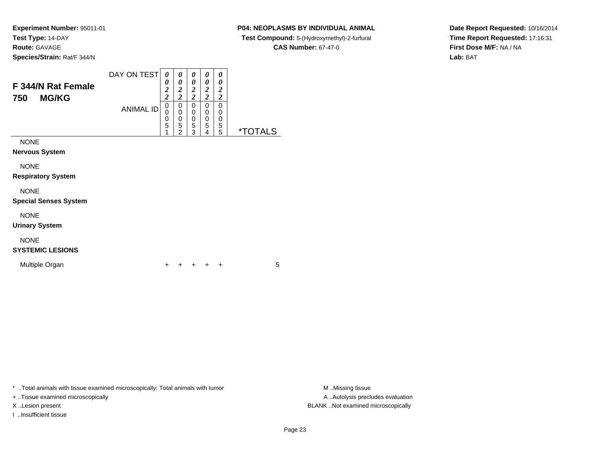#### **P04: NEOPLASMS BY INDIVIDUAL ANIMAL**

 **Test Compound:** 5-(Hydroxymethyl)-2-furfural **CAS Number:** 67-47-0

**Date Report Requested:** 10/16/2014**Time Report Requested:** 17:16:31**First Dose M/F:** NA / NA**Lab:** BAT

**Species/Strain:** Rat/F 344/N

| F 344/N Rat Female<br><b>MG/KG</b><br>750 | DAY ON TEST      | 0<br>$\overline{2}$<br><u>า</u> | 0<br>0<br>2 | $\boldsymbol{\theta}$<br>0<br>$\overline{2}$<br>2 | $\boldsymbol{\theta}$<br>0<br>2<br>ำ | $\theta$<br>0<br>2<br>2 |                       |
|-------------------------------------------|------------------|---------------------------------|-------------|---------------------------------------------------|--------------------------------------|-------------------------|-----------------------|
|                                           | <b>ANIMAL ID</b> | 0                               | 0           | 0                                                 | 0                                    | 0                       |                       |
|                                           |                  | 0                               | 0           | 0                                                 | 0                                    | 0                       |                       |
|                                           |                  | 0                               | 0           | 0                                                 | 0                                    | 0                       |                       |
|                                           |                  | 5                               | 5           | 5                                                 | 5                                    | 5                       |                       |
|                                           |                  |                                 | ◠           | વ                                                 | 4                                    | 5                       | <i><b>*TOTALS</b></i> |
| NONE                                      |                  |                                 |             |                                                   |                                      |                         |                       |

**Nervous System**

NONE

**Respiratory System**

NONE

**Special Senses System**

NONE

**Urinary System**

# NONE

**SYSTEMIC LESIONS**

Multiple Organn  $+$ 

<sup>+</sup> <sup>+</sup> <sup>+</sup> <sup>+</sup> <sup>5</sup>

\* ..Total animals with tissue examined microscopically; Total animals with tumor **M** ...Missing tissue M ...Missing tissue

+ ..Tissue examined microscopically

I ..Insufficient tissue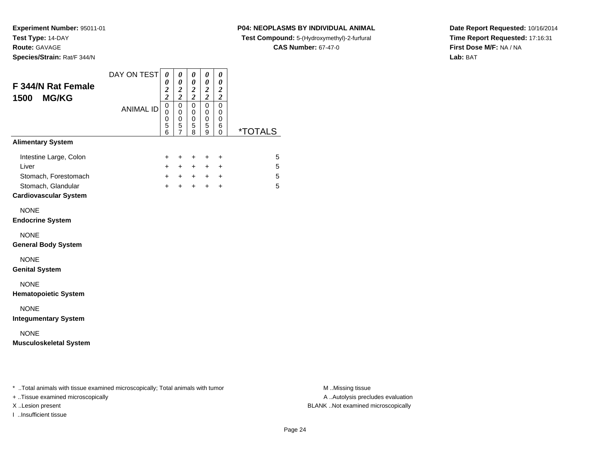### **P04: NEOPLASMS BY INDIVIDUAL ANIMAL**

**Test Compound:** 5-(Hydroxymethyl)-2-furfural

**CAS Number:** 67-47-0

**Date Report Requested:** 10/16/2014**Time Report Requested:** 17:16:31**First Dose M/F:** NA / NA**Lab:** BAT

|                  | $\frac{2}{2}$                                  | $\boldsymbol{2}$<br>$\overline{c}$           | $\pmb{\theta}$<br>$\frac{2}{2}$ | $\pmb{\theta}$<br>$\frac{2}{2}$ | $\boldsymbol{\theta}$<br>$\boldsymbol{2}$<br>$\overline{2}$ |                       |
|------------------|------------------------------------------------|----------------------------------------------|---------------------------------|---------------------------------|-------------------------------------------------------------|-----------------------|
| <b>ANIMAL ID</b> | $\mathbf 0$<br>0<br>$\boldsymbol{0}$<br>5<br>6 | $\mathbf 0$<br>0<br>0<br>5<br>$\overline{7}$ | $\mathsf 0$<br>0<br>0<br>5      | 0<br>$\mathbf 0$<br>0<br>5      | $\Omega$<br>0<br>0<br>6<br>0                                | <i><b>*TOTALS</b></i> |
|                  |                                                |                                              |                                 |                                 |                                                             |                       |
|                  | +<br>$+$                                       | +<br>$+$                                     | +<br>$+$                        | +<br>$+$                        | $\ddot{}$<br>$+$                                            | 5<br>5                |
|                  | $+$                                            | $+$                                          | $+$                             | $+$                             | $\ddot{}$                                                   | 5<br>5                |
|                  |                                                |                                              |                                 |                                 |                                                             |                       |
|                  |                                                |                                              |                                 |                                 |                                                             |                       |
|                  |                                                |                                              |                                 |                                 |                                                             |                       |
|                  |                                                |                                              |                                 |                                 |                                                             |                       |
|                  |                                                |                                              |                                 |                                 |                                                             |                       |
|                  |                                                |                                              |                                 |                                 |                                                             |                       |
|                  |                                                |                                              |                                 |                                 |                                                             |                       |
|                  |                                                | $\ddot{}$                                    | $+$                             | 8                               | 9<br>$+$                                                    | $+$<br>$\ddot{}$      |

+ ..Tissue examined microscopically

I ..Insufficient tissue